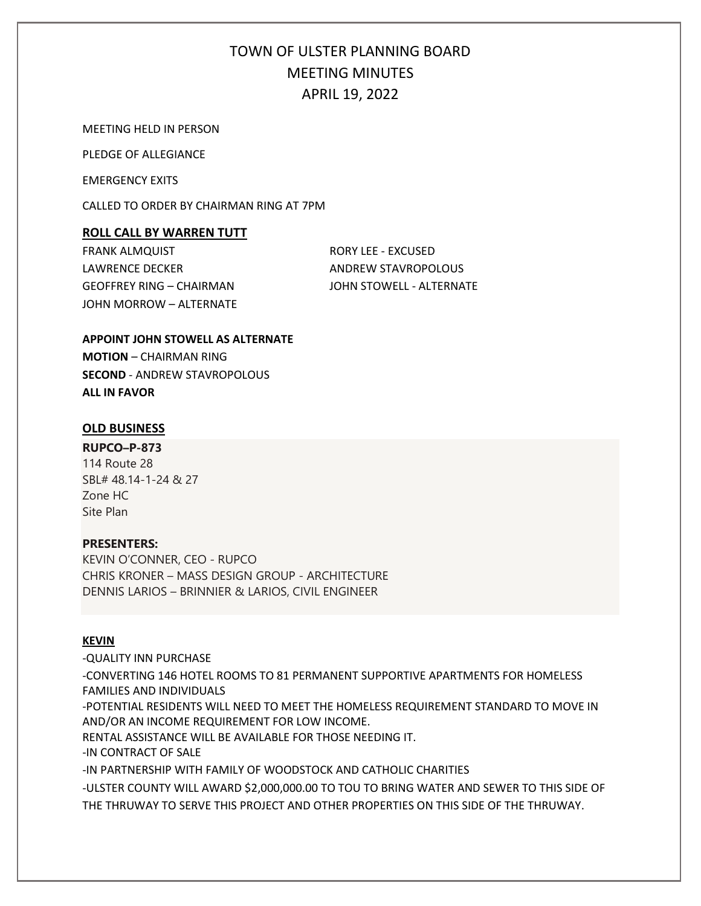MEETING HELD IN PERSON

PLEDGE OF ALLEGIANCE

EMERGENCY EXITS

CALLED TO ORDER BY CHAIRMAN RING AT 7PM

### **ROLL CALL BY WARREN TUTT**

FRANK ALMQUIST **RORY LEE - EXCUSED** LAWRENCE DECKER **ANDREW STAVROPOLOUS** GEOFFREY RING – CHAIRMAN JOHN STOWELL - ALTERNATE JOHN MORROW – ALTERNATE

### **APPOINT JOHN STOWELL AS ALTERNATE**

**MOTION** – CHAIRMAN RING **SECOND** - ANDREW STAVROPOLOUS **ALL IN FAVOR**

### **OLD BUSINESS**

**RUPCO–P-873** 114 Route 28 SBL# 48.14-1-24 & 27 Zone HC Site Plan

### **PRESENTERS:**

KEVIN O'CONNER, CEO - RUPCO CHRIS KRONER – MASS DESIGN GROUP - ARCHITECTURE DENNIS LARIOS – BRINNIER & LARIOS, CIVIL ENGINEER

### **KEVIN**

-QUALITY INN PURCHASE -CONVERTING 146 HOTEL ROOMS TO 81 PERMANENT SUPPORTIVE APARTMENTS FOR HOMELESS FAMILIES AND INDIVIDUALS -POTENTIAL RESIDENTS WILL NEED TO MEET THE HOMELESS REQUIREMENT STANDARD TO MOVE IN AND/OR AN INCOME REQUIREMENT FOR LOW INCOME. RENTAL ASSISTANCE WILL BE AVAILABLE FOR THOSE NEEDING IT. -IN CONTRACT OF SALE -IN PARTNERSHIP WITH FAMILY OF WOODSTOCK AND CATHOLIC CHARITIES -ULSTER COUNTY WILL AWARD \$2,000,000.00 TO TOU TO BRING WATER AND SEWER TO THIS SIDE OF THE THRUWAY TO SERVE THIS PROJECT AND OTHER PROPERTIES ON THIS SIDE OF THE THRUWAY.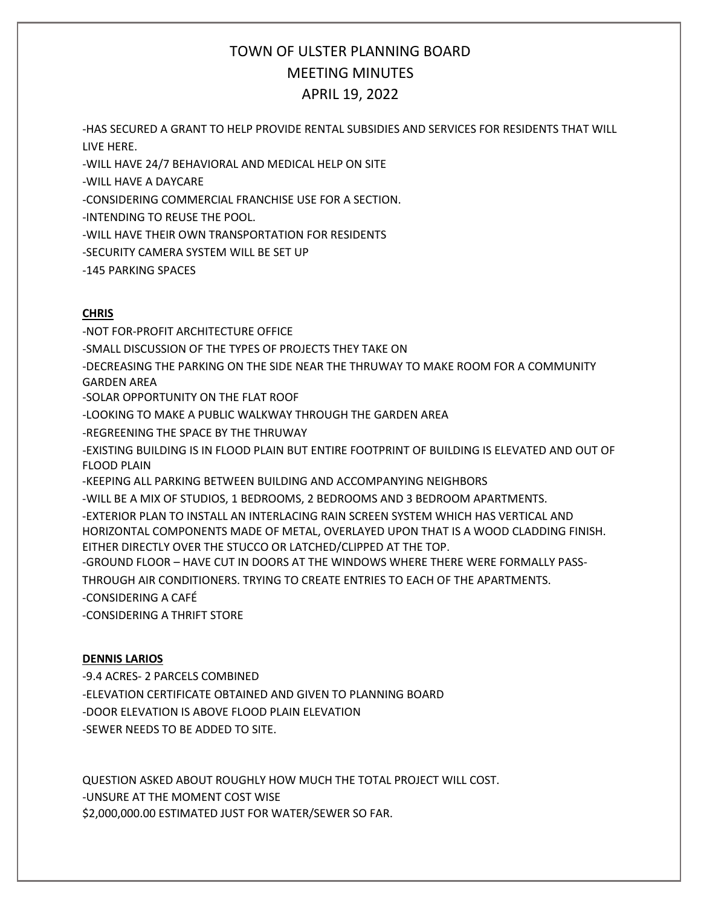-HAS SECURED A GRANT TO HELP PROVIDE RENTAL SUBSIDIES AND SERVICES FOR RESIDENTS THAT WILL LIVE HERE.

-WILL HAVE 24/7 BEHAVIORAL AND MEDICAL HELP ON SITE

-WILL HAVE A DAYCARE

-CONSIDERING COMMERCIAL FRANCHISE USE FOR A SECTION.

-INTENDING TO REUSE THE POOL.

-WILL HAVE THEIR OWN TRANSPORTATION FOR RESIDENTS

-SECURITY CAMERA SYSTEM WILL BE SET UP

-145 PARKING SPACES

### **CHRIS**

-NOT FOR-PROFIT ARCHITECTURE OFFICE -SMALL DISCUSSION OF THE TYPES OF PROJECTS THEY TAKE ON -DECREASING THE PARKING ON THE SIDE NEAR THE THRUWAY TO MAKE ROOM FOR A COMMUNITY GARDEN AREA -SOLAR OPPORTUNITY ON THE FLAT ROOF -LOOKING TO MAKE A PUBLIC WALKWAY THROUGH THE GARDEN AREA -REGREENING THE SPACE BY THE THRUWAY -EXISTING BUILDING IS IN FLOOD PLAIN BUT ENTIRE FOOTPRINT OF BUILDING IS ELEVATED AND OUT OF FLOOD PLAIN -KEEPING ALL PARKING BETWEEN BUILDING AND ACCOMPANYING NEIGHBORS -WILL BE A MIX OF STUDIOS, 1 BEDROOMS, 2 BEDROOMS AND 3 BEDROOM APARTMENTS. -EXTERIOR PLAN TO INSTALL AN INTERLACING RAIN SCREEN SYSTEM WHICH HAS VERTICAL AND HORIZONTAL COMPONENTS MADE OF METAL, OVERLAYED UPON THAT IS A WOOD CLADDING FINISH. EITHER DIRECTLY OVER THE STUCCO OR LATCHED/CLIPPED AT THE TOP. -GROUND FLOOR – HAVE CUT IN DOORS AT THE WINDOWS WHERE THERE WERE FORMALLY PASS-THROUGH AIR CONDITIONERS. TRYING TO CREATE ENTRIES TO EACH OF THE APARTMENTS. -CONSIDERING A CAFÉ -CONSIDERING A THRIFT STORE

## **DENNIS LARIOS**

-9.4 ACRES- 2 PARCELS COMBINED -ELEVATION CERTIFICATE OBTAINED AND GIVEN TO PLANNING BOARD -DOOR ELEVATION IS ABOVE FLOOD PLAIN ELEVATION -SEWER NEEDS TO BE ADDED TO SITE.

QUESTION ASKED ABOUT ROUGHLY HOW MUCH THE TOTAL PROJECT WILL COST. -UNSURE AT THE MOMENT COST WISE \$2,000,000.00 ESTIMATED JUST FOR WATER/SEWER SO FAR.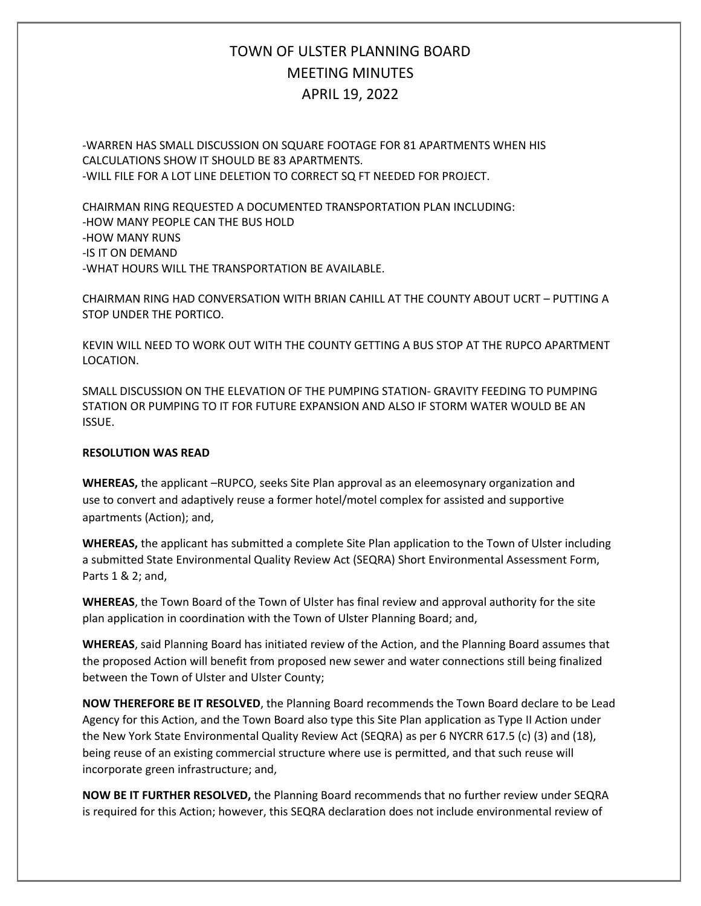-WARREN HAS SMALL DISCUSSION ON SQUARE FOOTAGE FOR 81 APARTMENTS WHEN HIS CALCULATIONS SHOW IT SHOULD BE 83 APARTMENTS. -WILL FILE FOR A LOT LINE DELETION TO CORRECT SQ FT NEEDED FOR PROJECT.

CHAIRMAN RING REQUESTED A DOCUMENTED TRANSPORTATION PLAN INCLUDING: -HOW MANY PEOPLE CAN THE BUS HOLD -HOW MANY RUNS -IS IT ON DEMAND -WHAT HOURS WILL THE TRANSPORTATION BE AVAILABLE.

CHAIRMAN RING HAD CONVERSATION WITH BRIAN CAHILL AT THE COUNTY ABOUT UCRT – PUTTING A STOP UNDER THE PORTICO.

KEVIN WILL NEED TO WORK OUT WITH THE COUNTY GETTING A BUS STOP AT THE RUPCO APARTMENT LOCATION.

SMALL DISCUSSION ON THE ELEVATION OF THE PUMPING STATION- GRAVITY FEEDING TO PUMPING STATION OR PUMPING TO IT FOR FUTURE EXPANSION AND ALSO IF STORM WATER WOULD BE AN ISSUE.

### **RESOLUTION WAS READ**

**WHEREAS,** the applicant –RUPCO, seeks Site Plan approval as an eleemosynary organization and use to convert and adaptively reuse a former hotel/motel complex for assisted and supportive apartments (Action); and,

**WHEREAS,** the applicant has submitted a complete Site Plan application to the Town of Ulster including a submitted State Environmental Quality Review Act (SEQRA) Short Environmental Assessment Form, Parts 1 & 2; and,

**WHEREAS**, the Town Board of the Town of Ulster has final review and approval authority for the site plan application in coordination with the Town of Ulster Planning Board; and,

**WHEREAS**, said Planning Board has initiated review of the Action, and the Planning Board assumes that the proposed Action will benefit from proposed new sewer and water connections still being finalized between the Town of Ulster and Ulster County;

**NOW THEREFORE BE IT RESOLVED**, the Planning Board recommends the Town Board declare to be Lead Agency for this Action, and the Town Board also type this Site Plan application as Type II Action under the New York State Environmental Quality Review Act (SEQRA) as per 6 NYCRR 617.5 (c) (3) and (18), being reuse of an existing commercial structure where use is permitted, and that such reuse will incorporate green infrastructure; and,

**NOW BE IT FURTHER RESOLVED,** the Planning Board recommends that no further review under SEQRA is required for this Action; however, this SEQRA declaration does not include environmental review of